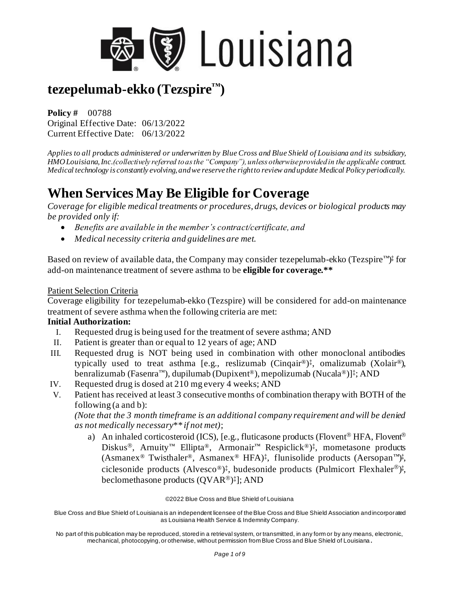

**Policy #** 00788 Original Effective Date: 06/13/2022 Current Effective Date: 06/13/2022

*Applies to all products administered or underwritten by Blue Cross and Blue Shield of Louisiana and its subsidiary, HMO Louisiana, Inc.(collectively referred to as the "Company"), unless otherwise provided in the applicable contract. Medical technology is constantly evolving, and we reserve the right to review and update Medical Policy periodically.* 

## **When Services May Be Eligible for Coverage**

*Coverage for eligible medical treatments or procedures, drugs, devices or biological products may be provided only if:* 

- *Benefits are available in the member's contract/certificate, and*
- *Medical necessity criteria and guidelines are met.*

Based on review of available data, the Company may consider tezepelumab-ekko (Tezspire™)<sup>‡</sup> for add-on maintenance treatment of severe asthma to be **eligible for coverage.\*\***

#### Patient Selection Criteria

Coverage eligibility for tezepelumab-ekko (Tezspire) will be considered for add-on maintenance treatment of severe asthma when the following criteria are met:

#### **Initial Authorization:**

- I. Requested drug is being used for the treatment of severe asthma; AND
- II. Patient is greater than or equal to 12 years of age; AND
- III. Requested drug is NOT being used in combination with other monoclonal antibodies typically used to treat asthma [e.g., reslizumab (Cinqair®) ‡ , omalizumab (Xolair®), benralizumab (Fasenra™), dupilumab (Dupixent®), mepolizumab (Nucala®)]‡ ; AND
- IV. Requested drug is dosed at 210 mg every 4 weeks; AND
- V. Patient has received at least 3 consecutive months of combination therapy with BOTH of the following (a and b):

*(Note that the 3 month timeframe is an additional company requirement and will be denied as not medically necessary\*\* if not met)*;

a) An inhaled corticosteroid (ICS), [e.g., fluticasone products (Flovent<sup>®</sup> HFA, Flovent<sup>®</sup> Diskus<sup>®</sup>, Arnuity<sup>™</sup> Ellipta®, Armonair<sup>™</sup> Respiclick<sup>®</sup>)<sup>‡</sup>, mometasone products (Asmanex® Twisthaler®, Asmanex® HFA)‡ , flunisolide products (Aersopan™) ‡ , ciclesonide products (Alvesco®)<sup>‡</sup>, budesonide products (Pulmicort Flexhaler<sup>®</sup>)<sup>‡</sup>, beclomethasone products (QVAR®)‡]; AND

#### ©2022 Blue Cross and Blue Shield of Louisiana

Blue Cross and Blue Shield of Louisiana is an independent licensee of the Blue Cross and Blue Shield Association and incorporated as Louisiana Health Service & Indemnity Company.

No part of this publication may be reproduced, stored in a retrieval system, or transmitted, in any form or by any means, electronic, mechanical, photocopying, or otherwise, without permission from Blue Cross and Blue Shield of Louisiana **.**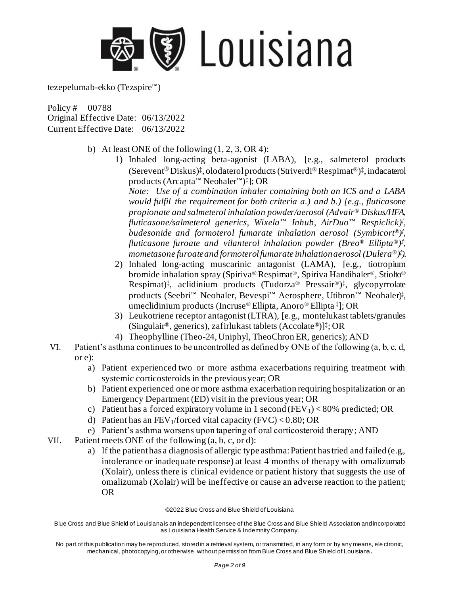

Policy # 00788 Original Effective Date: 06/13/2022 Current Effective Date: 06/13/2022

- b) At least ONE of the following  $(1, 2, 3, \text{OR } 4)$ :
	- 1) Inhaled long-acting beta-agonist (LABA), [e.g., salmeterol products (Serevent<sup>®</sup> Diskus)<sup>‡</sup>, olodaterol products (Striverdi® Respimat®)<sup>‡</sup>, indacaterol products (Arcapta™ Neohaler™) ‡ ]; OR

*Note: Use of a combination inhaler containing both an ICS and a LABA would fulfil the requirement for both criteria a.) and b.) [e.g., fluticasone propionate and salmeterol inhalation powder/aerosol (Advair® Diskus/HFA, fluticasone/salmeterol generics, Wixela™ Inhub, AirDuo™ Respiclick)‡ , budesonide and formoterol fumarate inhalation aerosol (Symbicort®) ‡ , fluticasone furoate and vilanterol inhalation powder (Breo® Ellipta®) ‡ , mometasone furoate and formoterol fumarate inhalation aerosol (Dulera®) ‡ ).* 

- 2) Inhaled long-acting muscarinic antagonist (LAMA), [e.g., tiotropium bromide inhalation spray (Spiriva® Respimat®, Spiriva Handihaler®, Stiolto® Respimat)‡ , aclidinium products (Tudorza® Pressair®) ‡ , glycopyrrolate products (Seebri™ Neohaler, Bevespi™ Aerosphere, Utibron™ Neohaler)‡ , umeclidinium products (Incruse® Ellipta, Anoro® Ellipta ‡ ]; OR
- 3) Leukotriene receptor antagonist (LTRA), [e.g., montelukast tablets/granules (Singulair®, generics), zafirlukast tablets (Accolate®)]‡ ; OR
- 4) Theophylline (Theo-24, Uniphyl, TheoChron ER, generics); AND
- VI. Patient's asthma continues to be uncontrolled as defined by ONE of the following (a, b, c, d, or e):
	- a) Patient experienced two or more asthma exacerbations requiring treatment with systemic corticosteroids in the previous year; OR
	- b) Patient experienced one or more asthma exacerbation requiring hospitalization or an Emergency Department (ED) visit in the previous year; OR
	- c) Patient has a forced expiratory volume in 1 second (FEV<sub>1</sub>) < 80% predicted; OR
	- d) Patient has an FEV<sub>1</sub>/forced vital capacity (FVC) <  $0.80$ ; OR
	- e) Patient's asthma worsens upon tapering of oral corticosteroid therapy; AND
- VII. Patient meets ONE of the following (a, b, c, or d):
	- a) If the patient has a diagnosis of allergic type asthma: Patient has tried and failed (e.g., intolerance or inadequate response) at least 4 months of therapy with omalizumab (Xolair), unless there is clinical evidence or patient history that suggests the use of omalizumab (Xolair) will be ineffective or cause an adverse reaction to the patient; OR

#### ©2022 Blue Cross and Blue Shield of Louisiana

Blue Cross and Blue Shield of Louisiana is an independent licensee of the Blue Cross and Blue Shield Association and incorporated as Louisiana Health Service & Indemnity Company.

No part of this publication may be reproduced, stored in a retrieval system, or transmitted, in any form or by any means, ele ctronic, mechanical, photocopying, or otherwise, without permission from Blue Cross and Blue Shield of Louisiana**.**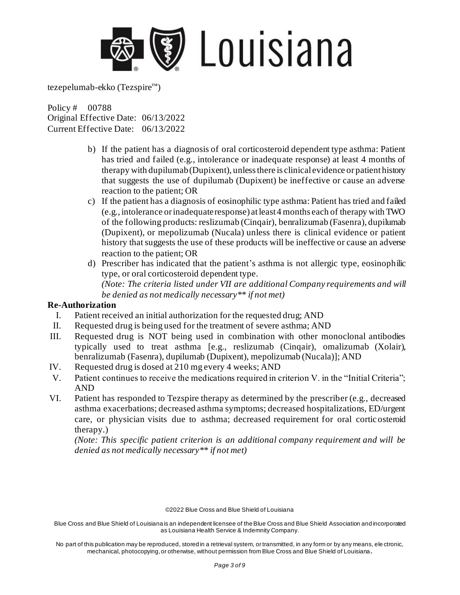

Policy # 00788 Original Effective Date: 06/13/2022 Current Effective Date: 06/13/2022

- b) If the patient has a diagnosis of oral corticosteroid dependent type asthma: Patient has tried and failed (e.g., intolerance or inadequate response) at least 4 months of therapy with dupilumab (Dupixent), unless there is clinical evidence or patient history that suggests the use of dupilumab (Dupixent) be ineffective or cause an adverse reaction to the patient; OR
- c) If the patient has a diagnosis of eosinophilic type asthma: Patient has tried and failed (e.g., intolerance or inadequate response) at least 4 months each of therapy with TWO of the following products: reslizumab (Cinqair), benralizumab (Fasenra), dupilumab (Dupixent), or mepolizumab (Nucala) unless there is clinical evidence or patient history that suggests the use of these products will be ineffective or cause an adverse reaction to the patient; OR
- d) Prescriber has indicated that the patient's asthma is not allergic type, eosinophilic type, or oral corticosteroid dependent type. *(Note: The criteria listed under VII are additional Company requirements and will be denied as not medically necessary\*\* if not met)*

#### **Re-Authorization**

- I. Patient received an initial authorization for the requested drug; AND
- II. Requested drug is being used for the treatment of severe asthma; AND
- III. Requested drug is NOT being used in combination with other monoclonal antibodies typically used to treat asthma [e.g., reslizumab (Cinqair), omalizumab (Xolair), benralizumab (Fasenra), dupilumab (Dupixent), mepolizumab (Nucala)]; AND
- IV. Requested drug is dosed at 210 mg every 4 weeks; AND
- V. Patient continues to receive the medications required in criterion V. in the "Initial Criteria"; AND
- VI. Patient has responded to Tezspire therapy as determined by the prescriber (e.g., decreased asthma exacerbations; decreased asthma symptoms; decreased hospitalizations, ED/urgent care, or physician visits due to asthma; decreased requirement for oral corticosteroid therapy.)

*(Note: This specific patient criterion is an additional company requirement and will be denied as not medically necessary\*\* if not met)*

©2022 Blue Cross and Blue Shield of Louisiana

Blue Cross and Blue Shield of Louisiana is an independent licensee of the Blue Cross and Blue Shield Association and incorporated as Louisiana Health Service & Indemnity Company.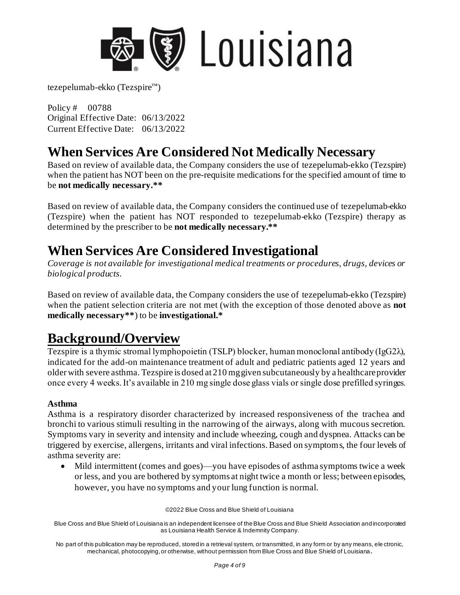

Policy # 00788 Original Effective Date: 06/13/2022 Current Effective Date: 06/13/2022

### **When Services Are Considered Not Medically Necessary**

Based on review of available data, the Company considers the use of tezepelumab-ekko (Tezspire) when the patient has NOT been on the pre-requisite medications for the specified amount of time to be **not medically necessary.\*\*** 

Based on review of available data, the Company considers the continued use of tezepelumab-ekko (Tezspire) when the patient has NOT responded to tezepelumab-ekko (Tezspire) therapy as determined by the prescriber to be **not medically necessary.\*\*** 

### **When Services Are Considered Investigational**

*Coverage is not available for investigational medical treatments or procedures, drugs, devices or biological products.* 

Based on review of available data, the Company considers the use of tezepelumab-ekko (Tezspire) when the patient selection criteria are not met (with the exception of those denoted above as **not medically necessary\*\***) to be **investigational.\*** 

### **Background/Overview**

Tezspire is a thymic stromal lymphopoietin (TSLP) blocker, human monoclonal antibody (IgG2λ), indicated for the add-on maintenance treatment of adult and pediatric patients aged 12 years and older with severe asthma. Tezspire is dosed at 210 mg given subcutaneously by a healthcare provider once every 4 weeks. It's available in 210 mg single dose glass vials or single dose prefilled syringes.

#### **Asthma**

Asthma is a respiratory disorder characterized by increased responsiveness of the trachea and bronchi to various stimuli resulting in the narrowing of the airways, along with mucous secretion. Symptoms vary in severity and intensity and include wheezing, cough and dyspnea. Attacks can be triggered by exercise, allergens, irritants and viral infections. Based on symptoms, the four levels of asthma severity are:

• Mild intermittent (comes and goes)—you have episodes of asthma symptoms twice a week or less, and you are bothered by symptoms at night twice a month or less; between episodes, however, you have no symptoms and your lung function is normal.

©2022 Blue Cross and Blue Shield of Louisiana

Blue Cross and Blue Shield of Louisiana is an independent licensee of the Blue Cross and Blue Shield Association and incorporated as Louisiana Health Service & Indemnity Company.

No part of this publication may be reproduced, stored in a retrieval system, or transmitted, in any form or by any means, ele ctronic, mechanical, photocopying, or otherwise, without permission from Blue Cross and Blue Shield of Louisiana**.**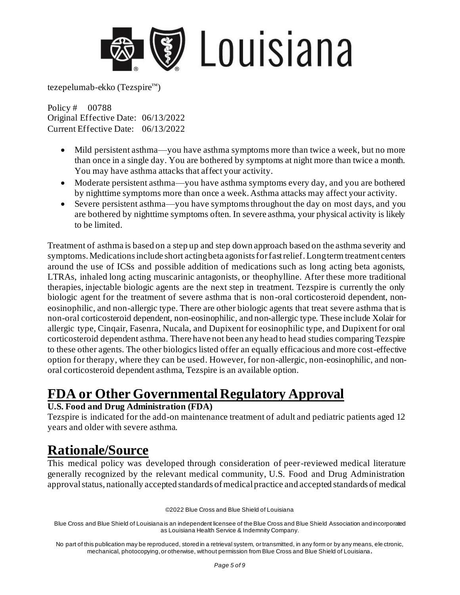

Policy # 00788 Original Effective Date: 06/13/2022 Current Effective Date: 06/13/2022

- Mild persistent asthma—you have asthma symptoms more than twice a week, but no more than once in a single day. You are bothered by symptoms at night more than twice a month. You may have asthma attacks that affect your activity.
- Moderate persistent asthma—you have asthma symptoms every day, and you are bothered by nighttime symptoms more than once a week. Asthma attacks may affect your activity.
- Severe persistent asthma—you have symptoms throughout the day on most days, and you are bothered by nighttime symptoms often. In severe asthma, your physical activity is likely to be limited.

Treatment of asthma is based on a step up and step down approach based on the asthma severity and symptoms. Medications include short acting beta agonists for fast relief. Long term treatment centers around the use of ICSs and possible addition of medications such as long acting beta agonists, LTRAs, inhaled long acting muscarinic antagonists, or theophylline. After these more traditional therapies, injectable biologic agents are the next step in treatment. Tezspire is currently the only biologic agent for the treatment of severe asthma that is non-oral corticosteroid dependent, noneosinophilic, and non-allergic type. There are other biologic agents that treat severe asthma that is non-oral corticosteroid dependent, non-eosinophilic, and non-allergic type. These include Xolair for allergic type, Cinqair, Fasenra, Nucala, and Dupixent for eosinophilic type, and Dupixent for oral corticosteroid dependent asthma. There have not been any head to head studies comparing Tezspire to these other agents. The other biologics listed offer an equally efficacious and more cost-effective option for therapy, where they can be used. However, for non-allergic, non-eosinophilic, and nonoral corticosteroid dependent asthma, Tezspire is an available option.

# **FDA or Other Governmental Regulatory Approval**

#### **U.S. Food and Drug Administration (FDA)**

Tezspire is indicated for the add-on maintenance treatment of adult and pediatric patients aged 12 years and older with severe asthma.

### **Rationale/Source**

This medical policy was developed through consideration of peer-reviewed medical literature generally recognized by the relevant medical community, U.S. Food and Drug Administration approval status, nationally accepted standards of medical practice and accepted standards of medical

©2022 Blue Cross and Blue Shield of Louisiana

Blue Cross and Blue Shield of Louisiana is an independent licensee of the Blue Cross and Blue Shield Association and incorporated as Louisiana Health Service & Indemnity Company.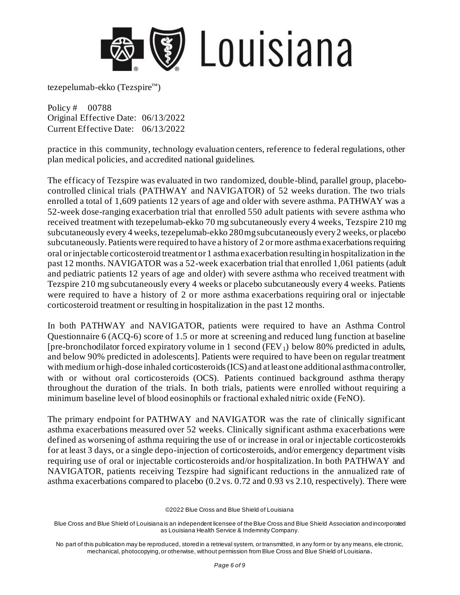

Policy # 00788 Original Effective Date: 06/13/2022 Current Effective Date: 06/13/2022

practice in this community, technology evaluation centers, reference to federal regulations, other plan medical policies, and accredited national guidelines.

The efficacy of Tezspire was evaluated in two randomized, double-blind, parallel group, placebocontrolled clinical trials (PATHWAY and NAVIGATOR) of 52 weeks duration. The two trials enrolled a total of 1,609 patients 12 years of age and older with severe asthma. PATHWAY was a 52-week dose-ranging exacerbation trial that enrolled 550 adult patients with severe asthma who received treatment with tezepelumab-ekko 70 mg subcutaneously every 4 weeks, Tezspire 210 mg subcutaneously every 4 weeks, tezepelumab-ekko 280 mg subcutaneously every 2 weeks, or placebo subcutaneously. Patients were required to have a history of 2 or more asthma exacerbations requiring oral or injectable corticosteroid treatment or 1 asthma exacerbation resulting in hospitalization in the past 12 months. NAVIGATOR was a 52-week exacerbation trial that enrolled 1,061 patients (adult and pediatric patients 12 years of age and older) with severe asthma who received treatment with Tezspire 210 mg subcutaneously every 4 weeks or placebo subcutaneously every 4 weeks. Patients were required to have a history of 2 or more asthma exacerbations requiring oral or injectable corticosteroid treatment or resulting in hospitalization in the past 12 months.

In both PATHWAY and NAVIGATOR, patients were required to have an Asthma Control Questionnaire 6 (ACQ-6) score of 1.5 or more at screening and reduced lung function at baseline [pre-bronchodilator forced expiratory volume in 1 second ( $FEV<sub>1</sub>$ ) below 80% predicted in adults, and below 90% predicted in adolescents]. Patients were required to have been on regular treatment with medium or high-dose inhaled corticosteroids (ICS) and at least one additional asthma controller, with or without oral corticosteroids (OCS). Patients continued background asthma therapy throughout the duration of the trials. In both trials, patients were enrolled without requiring a minimum baseline level of blood eosinophils or fractional exhaled nitric oxide (FeNO).

The primary endpoint for PATHWAY and NAVIGATOR was the rate of clinically significant asthma exacerbations measured over 52 weeks. Clinically significant asthma exacerbations were defined as worsening of asthma requiring the use of or increase in oral or injectable corticosteroids for at least 3 days, or a single depo-injection of corticosteroids, and/or emergency department visits requiring use of oral or injectable corticosteroids and/or hospitalization. In both PATHWAY and NAVIGATOR, patients receiving Tezspire had significant reductions in the annualized rate of asthma exacerbations compared to placebo (0.2 vs. 0.72 and 0.93 vs 2.10, respectively). There were

©2022 Blue Cross and Blue Shield of Louisiana

Blue Cross and Blue Shield of Louisiana is an independent licensee of the Blue Cross and Blue Shield Association and incorporated as Louisiana Health Service & Indemnity Company.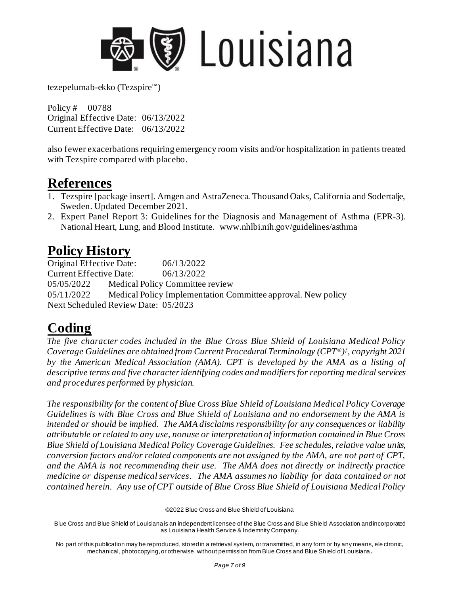

Policy # 00788 Original Effective Date: 06/13/2022 Current Effective Date: 06/13/2022

also fewer exacerbations requiring emergency room visits and/or hospitalization in patients treated with Tezspire compared with placebo.

### **References**

- 1. Tezspire [package insert]. Amgen and AstraZeneca. Thousand Oaks, California and Sodertalje, Sweden. Updated December 2021.
- 2. Expert Panel Report 3: Guidelines for the Diagnosis and Management of Asthma (EPR-3). National Heart, Lung, and Blood Institute. [www.nhlbi.nih.gov/guidelines/asthma](http://www.nhlbi.nih.gov/guidelines/asthma)

## **Policy History**

Original Effective Date: 06/13/2022 Current Effective Date: 06/13/2022 05/05/2022 Medical Policy Committee review 05/11/2022 Medical Policy Implementation Committee approval. New policy Next Scheduled Review Date: 05/2023

# **Coding**

*The five character codes included in the Blue Cross Blue Shield of Louisiana Medical Policy Coverage Guidelines are obtained from Current Procedural Terminology (CPT®) ‡ , copyright 2021 by the American Medical Association (AMA). CPT is developed by the AMA as a listing of descriptive terms and five character identifying codes and modifiers for reporting medical services and procedures performed by physician.* 

*The responsibility for the content of Blue Cross Blue Shield of Louisiana Medical Policy Coverage Guidelines is with Blue Cross and Blue Shield of Louisiana and no endorsement by the AMA is intended or should be implied. The AMA disclaims responsibility for any consequences or liability attributable or related to any use, nonuse or interpretation of information contained in Blue Cross Blue Shield of Louisiana Medical Policy Coverage Guidelines. Fee schedules, relative value units, conversion factors and/or related components are not assigned by the AMA, are not part of CPT, and the AMA is not recommending their use. The AMA does not directly or indirectly practice medicine or dispense medical services. The AMA assumes no liability for data contained or not contained herein. Any use of CPT outside of Blue Cross Blue Shield of Louisiana Medical Policy* 

©2022 Blue Cross and Blue Shield of Louisiana

Blue Cross and Blue Shield of Louisiana is an independent licensee of the Blue Cross and Blue Shield Association and incorporated as Louisiana Health Service & Indemnity Company.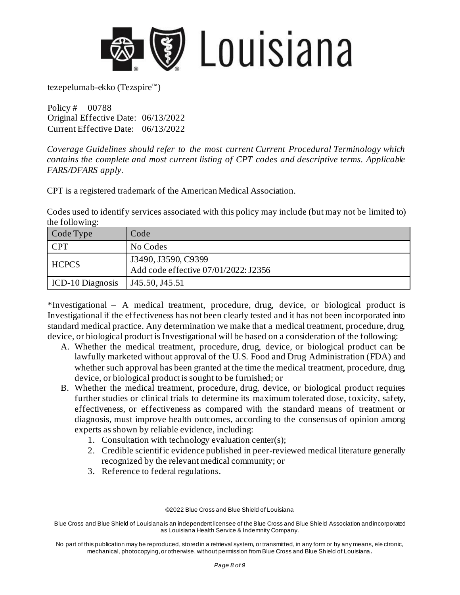

Policy # 00788 Original Effective Date: 06/13/2022 Current Effective Date: 06/13/2022

*Coverage Guidelines should refer to the most current Current Procedural Terminology which contains the complete and most current listing of CPT codes and descriptive terms. Applicable FARS/DFARS apply.* 

CPT is a registered trademark of the American Medical Association.

Codes used to identify services associated with this policy may include (but may not be limited to) the following:

| Code Type               | Code                                                        |
|-------------------------|-------------------------------------------------------------|
| <b>CPT</b>              | No Codes                                                    |
| <b>HCPCS</b>            | J3490, J3590, C9399<br>Add code effective 07/01/2022: J2356 |
| <b>ICD-10 Diagnosis</b> | J45.50, J45.51                                              |

\*Investigational – A medical treatment, procedure, drug, device, or biological product is Investigational if the effectiveness has not been clearly tested and it has not been incorporated into standard medical practice. Any determination we make that a medical treatment, procedure, drug, device, or biological product is Investigational will be based on a consideration of the following:

- A. Whether the medical treatment, procedure, drug, device, or biological product can be lawfully marketed without approval of the U.S. Food and Drug Administration (FDA) and whether such approval has been granted at the time the medical treatment, procedure, drug, device, or biological product is sought to be furnished; or
- B. Whether the medical treatment, procedure, drug, device, or biological product requires further studies or clinical trials to determine its maximum tolerated dose, toxicity, safety, effectiveness, or effectiveness as compared with the standard means of treatment or diagnosis, must improve health outcomes, according to the consensus of opinion among experts as shown by reliable evidence, including:
	- 1. Consultation with technology evaluation center(s);
	- 2. Credible scientific evidence published in peer-reviewed medical literature generally recognized by the relevant medical community; or
	- 3. Reference to federal regulations.

©2022 Blue Cross and Blue Shield of Louisiana

Blue Cross and Blue Shield of Louisiana is an independent licensee of the Blue Cross and Blue Shield Association and incorporated as Louisiana Health Service & Indemnity Company.